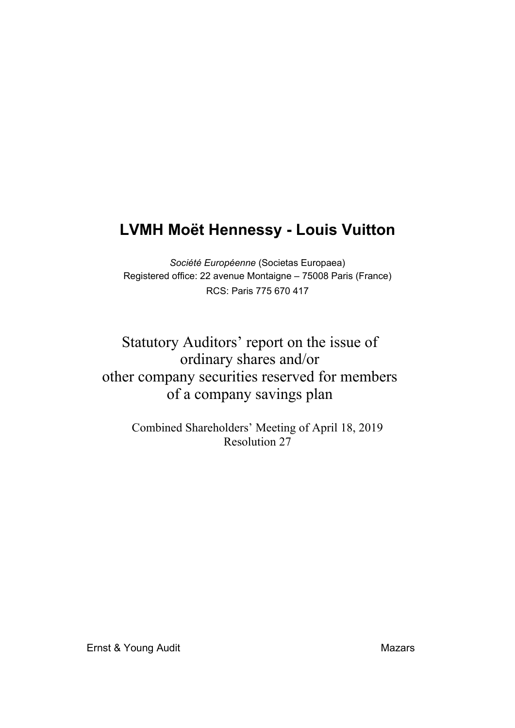# **LVMH Moët Hennessy - Louis Vuitton**

*Société Européenne* (Societas Europaea) Registered office: 22 avenue Montaigne – 75008 Paris (France) RCS: Paris 775 670 417

## Statutory Auditors' report on the issue of ordinary shares and/or other company securities reserved for members of a company savings plan

Combined Shareholders' Meeting of April 18, 2019 Resolution 27

Ernst & Young Audit Mazars and Mazars Mazars Mazars Mazars Mazars Mazars Mazars Mazars Mazars Mazars Mazars Ma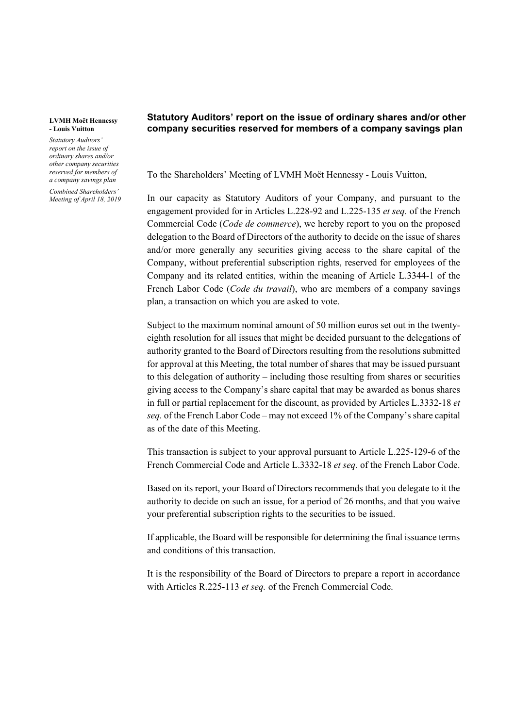#### **LVMH Moët Hennessy - Louis Vuitton**

*Statutory Auditors' report on the issue of ordinary shares and/or other company securities reserved for members of a company savings plan*

*Combined Shareholders' Meeting of April 18, 2019*

### **Statutory Auditors' report on the issue of ordinary shares and/or other company securities reserved for members of a company savings plan**

To the Shareholders' Meeting of LVMH Moët Hennessy - Louis Vuitton,

In our capacity as Statutory Auditors of your Company, and pursuant to the engagement provided for in Articles L.228-92 and L.225-135 *et seq.* of the French Commercial Code (*Code de commerce*), we hereby report to you on the proposed delegation to the Board of Directors of the authority to decide on the issue of shares and/or more generally any securities giving access to the share capital of the Company, without preferential subscription rights, reserved for employees of the Company and its related entities, within the meaning of Article L.3344-1 of the French Labor Code (*Code du travail*), who are members of a company savings plan, a transaction on which you are asked to vote.

Subject to the maximum nominal amount of 50 million euros set out in the twentyeighth resolution for all issues that might be decided pursuant to the delegations of authority granted to the Board of Directors resulting from the resolutions submitted for approval at this Meeting, the total number of shares that may be issued pursuant to this delegation of authority – including those resulting from shares or securities giving access to the Company's share capital that may be awarded as bonus shares in full or partial replacement for the discount, as provided by Articles L.3332-18 *et seq.* of the French Labor Code – may not exceed 1% of the Company's share capital as of the date of this Meeting.

This transaction is subject to your approval pursuant to Article L.225-129-6 of the French Commercial Code and Article L.3332-18 *et seq.* of the French Labor Code.

Based on its report, your Board of Directors recommends that you delegate to it the authority to decide on such an issue, for a period of 26 months, and that you waive your preferential subscription rights to the securities to be issued.

If applicable, the Board will be responsible for determining the final issuance terms and conditions of this transaction.

It is the responsibility of the Board of Directors to prepare a report in accordance with Articles R.225-113 *et seq.* of the French Commercial Code.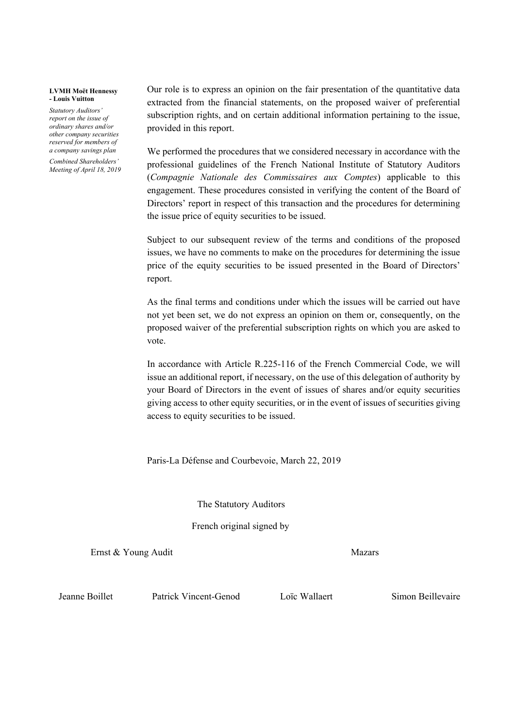#### **LVMH Moët Hennessy - Louis Vuitton**

*Statutory Auditors' report on the issue of ordinary shares and/or other company securities reserved for members of a company savings plan*

*Combined Shareholders' Meeting of April 18, 2019* Our role is to express an opinion on the fair presentation of the quantitative data extracted from the financial statements, on the proposed waiver of preferential subscription rights, and on certain additional information pertaining to the issue, provided in this report.

We performed the procedures that we considered necessary in accordance with the professional guidelines of the French National Institute of Statutory Auditors (*Compagnie Nationale des Commissaires aux Comptes*) applicable to this engagement. These procedures consisted in verifying the content of the Board of Directors' report in respect of this transaction and the procedures for determining the issue price of equity securities to be issued.

Subject to our subsequent review of the terms and conditions of the proposed issues, we have no comments to make on the procedures for determining the issue price of the equity securities to be issued presented in the Board of Directors' report.

As the final terms and conditions under which the issues will be carried out have not yet been set, we do not express an opinion on them or, consequently, on the proposed waiver of the preferential subscription rights on which you are asked to vote.

In accordance with Article R.225-116 of the French Commercial Code, we will issue an additional report, if necessary, on the use of this delegation of authority by your Board of Directors in the event of issues of shares and/or equity securities giving access to other equity securities, or in the event of issues of securities giving access to equity securities to be issued.

Paris-La Défense and Courbevoie, March 22, 2019

The Statutory Auditors

French original signed by

Ernst & Young Audit Mazars

Jeanne Boillet Patrick Vincent-Genod Loïc Wallaert Simon Beillevaire